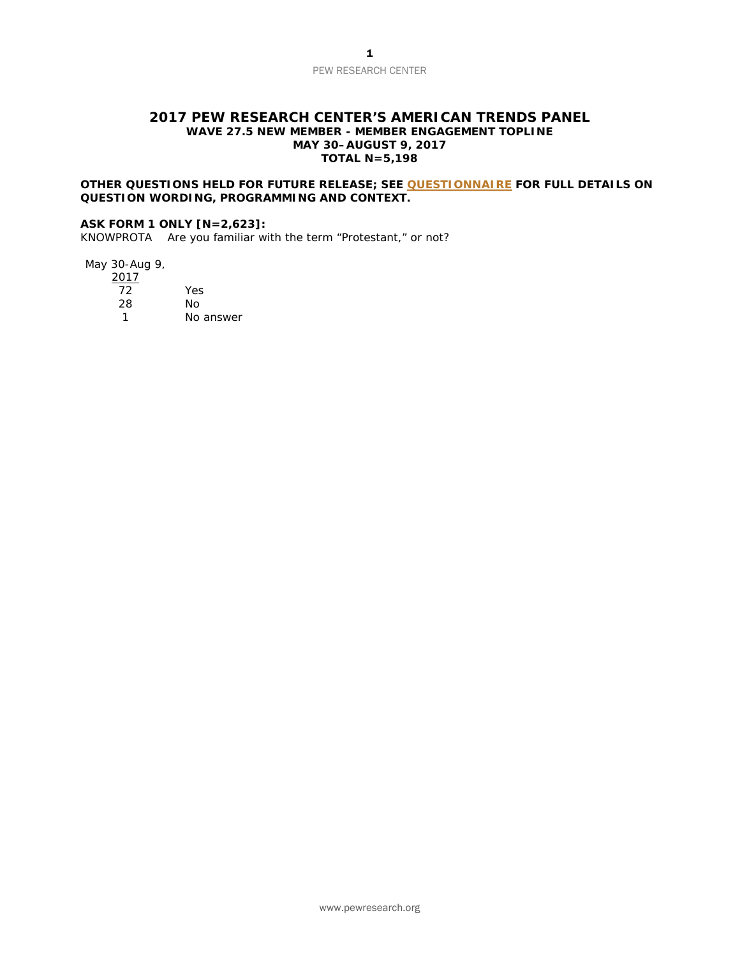#### **2017 PEW RESEARCH CENTER'S AMERICAN TRENDS PANEL WAVE 27.5 NEW MEMBER - MEMBER ENGAGEMENT TOPLINE MAY 30–AUGUST 9, 2017 TOTAL N=5,198**

#### **OTHER QUESTIONS HELD FOR FUTURE RELEASE; SEE [QUESTIONNAIRE](http://assets.pewresearch.org/wp-content/uploads/sites/11/2017/08/30115803/Questionnaire-NUMBER-CHECKED-FOR-RELEASE.pdf) FOR FULL DETAILS ON QUESTION WORDING, PROGRAMMING AND CONTEXT.**

#### **ASK FORM 1 ONLY [N=2,623]:**

KNOWPROTA Are you familiar with the term "Protestant," or not?

May 30-Aug 9,

| 2017 |           |
|------|-----------|
| 72   | Yes       |
| 28   | Nο        |
|      | No answer |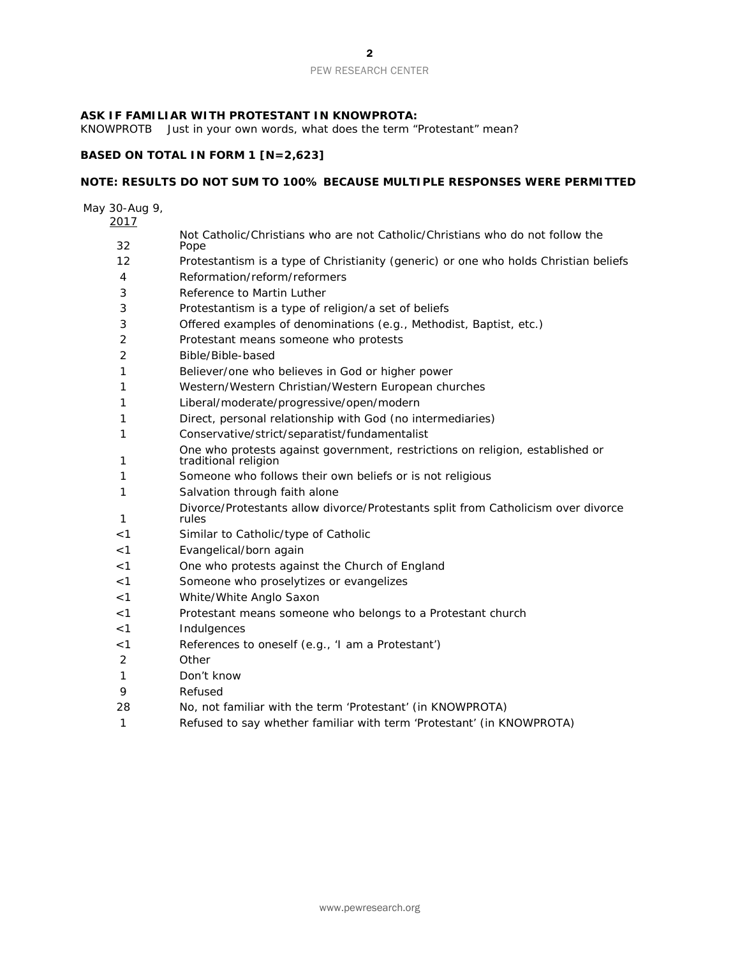#### **ASK IF FAMILIAR WITH PROTESTANT IN KNOWPROTA:**

KNOWPROTB Just in your own words, what does the term "Protestant" mean?

### **BASED ON TOTAL IN FORM 1 [N=2,623]**

### **NOTE: RESULTS DO NOT SUM TO 100% BECAUSE MULTIPLE RESPONSES WERE PERMITTED**

May 30-Aug 9,

| 2017           |                                                                                                       |
|----------------|-------------------------------------------------------------------------------------------------------|
| 32             | Not Catholic/Christians who are not Catholic/Christians who do not follow the<br>Pope                 |
| 12             | Protestantism is a type of Christianity (generic) or one who holds Christian beliefs                  |
| 4              | Reformation/reform/reformers                                                                          |
| 3              | Reference to Martin Luther                                                                            |
| 3              | Protestantism is a type of religion/a set of beliefs                                                  |
| 3              | Offered examples of denominations (e.g., Methodist, Baptist, etc.)                                    |
| $\overline{2}$ | Protestant means someone who protests                                                                 |
| 2              | Bible/Bible-based                                                                                     |
| 1              | Believer/one who believes in God or higher power                                                      |
| 1              | Western/Western Christian/Western European churches                                                   |
| 1              | Liberal/moderate/progressive/open/modern                                                              |
| 1              | Direct, personal relationship with God (no intermediaries)                                            |
| 1              | Conservative/strict/separatist/fundamentalist                                                         |
| 1              | One who protests against government, restrictions on religion, established or<br>traditional religion |
| 1              | Someone who follows their own beliefs or is not religious                                             |
| 1              | Salvation through faith alone                                                                         |
| 1              | Divorce/Protestants allow divorce/Protestants split from Catholicism over divorce<br>rules            |
| $<$ 1          | Similar to Catholic/type of Catholic                                                                  |
| < 1            | Evangelical/born again                                                                                |
| $<$ 1          | One who protests against the Church of England                                                        |
| < 1            | Someone who proselytizes or evangelizes                                                               |
| < 1            | White/White Anglo Saxon                                                                               |
| $<$ 1          | Protestant means someone who belongs to a Protestant church                                           |
| $<$ 1          | Indulgences                                                                                           |
| $<$ 1          | References to oneself (e.g., 'I am a Protestant')                                                     |
| 2              | Other                                                                                                 |
| 1              | Don't know                                                                                            |
| 9              | Refused                                                                                               |
| 28             | No, not familiar with the term 'Protestant' (in KNOWPROTA)                                            |
| 1              | Refused to say whether familiar with term 'Protestant' (in KNOWPROTA)                                 |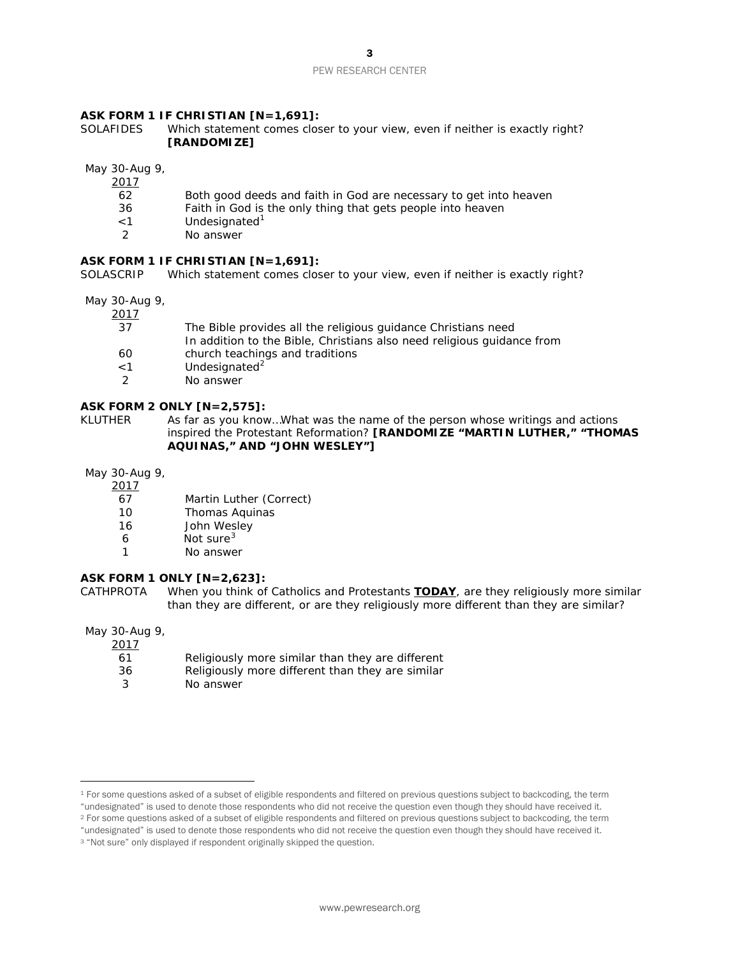#### **ASK FORM 1 IF CHRISTIAN [N=1,691]:**

SOLAFIDES Which statement comes closer to your view, even if neither is exactly right? **[RANDOMIZE]**

May 30-Aug 9,

2017

- 62 Both good deeds and faith in God are necessary to get into heaven
- 36 Faith in God is the only thing that gets people into heaven
- <[1](#page-2-0) Undesignated<sup>1</sup><br>2 No answer
- No answer

#### **ASK FORM 1 IF CHRISTIAN [N=1,691]:**

SOLASCRIP Which statement comes closer to your view, even if neither is exactly right?

May 30-Aug 9,

2017

| 37            | The Bible provides all the religious guidance Christians need          |
|---------------|------------------------------------------------------------------------|
|               | In addition to the Bible, Christians also need religious guidance from |
| 60            | church teachings and traditions                                        |
| $<$ 1         | Undesignated <sup>2</sup>                                              |
| $\mathcal{P}$ | No answer                                                              |

#### **ASK FORM 2 ONLY [N=2,575]:**

KLUTHER As far as you know...What was the name of the person whose writings and actions inspired the Protestant Reformation? **[RANDOMIZE "MARTIN LUTHER," "THOMAS AQUINAS," AND "JOHN WESLEY"]** 

May 30-Aug 9,

- - $\frac{2017}{67}$ 67 Martin Luther (*Correct)*
	- 10 Thomas Aquinas
	- 16 John Wesley
	- 6 Not sure<sup>[3](#page-2-2)</sup>
	- 1 No answer

# **ASK FORM 1 ONLY [N=2,623]:**

When you think of Catholics and Protestants **TODAY**, are they religiously more similar than they are different, or are they religiously more different than they are similar?

May 30-Aug 9,

 $\overline{a}$ 

| <u>2017</u> |                                                  |
|-------------|--------------------------------------------------|
| 61          | Religiously more similar than they are different |
| 36          | Religiously more different than they are similar |
|             | No answer                                        |

- "undesignated" is used to denote those respondents who did not receive the question even though they should have received it.
- <span id="page-2-1"></span><sup>2</sup> For some questions asked of a subset of eligible respondents and filtered on previous questions subject to backcoding, the term "undesignated" is used to denote those respondents who did not receive the question even though they should have received it.

<span id="page-2-0"></span><sup>&</sup>lt;sup>1</sup> For some questions asked of a subset of eligible respondents and filtered on previous questions subject to backcoding, the term

<span id="page-2-2"></span><sup>&</sup>lt;sup>3</sup> "Not sure" only displayed if respondent originally skipped the question.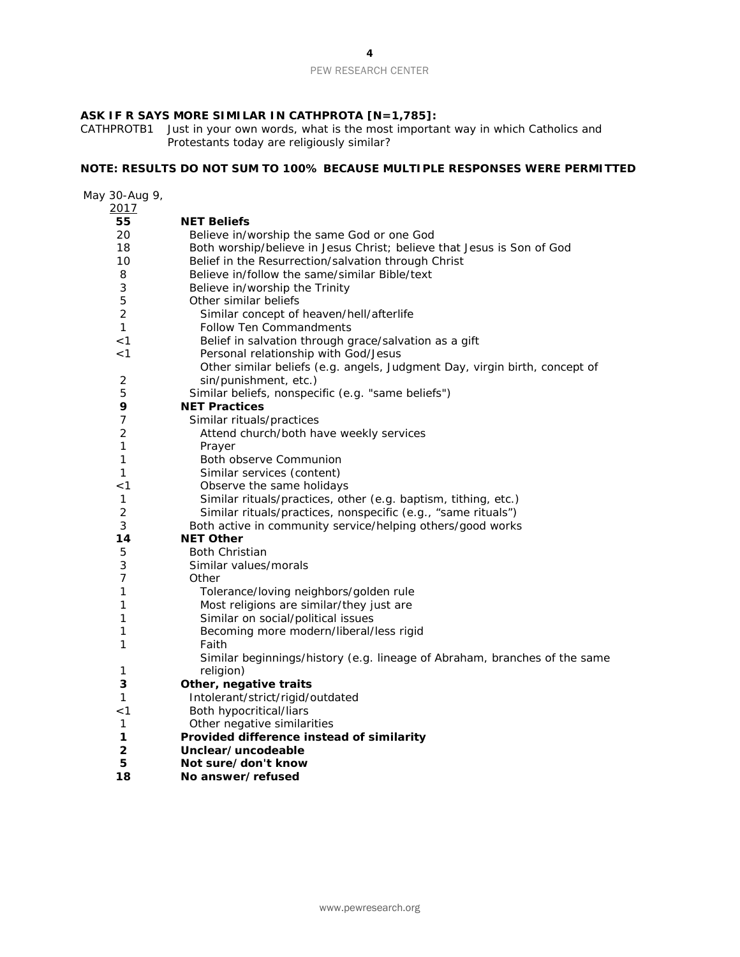## **ASK IF R SAYS MORE SIMILAR IN CATHPROTA [N=1,785]:**

CATHPROTB1 Just in your own words, what is the most important way in which Catholics and Protestants today are religiously similar?

## **NOTE: RESULTS DO NOT SUM TO 100% BECAUSE MULTIPLE RESPONSES WERE PERMITTED**

| May 30-Aug 9,  |                                                                            |
|----------------|----------------------------------------------------------------------------|
| 2017           |                                                                            |
| 55             | <b>NET Beliefs</b>                                                         |
| 20             | Believe in/worship the same God or one God                                 |
| 18             | Both worship/believe in Jesus Christ; believe that Jesus is Son of God     |
| 10             | Belief in the Resurrection/salvation through Christ                        |
| 8              | Believe in/follow the same/similar Bible/text                              |
| 3              | Believe in/worship the Trinity                                             |
| 5              | Other similar beliefs                                                      |
| $\overline{2}$ | Similar concept of heaven/hell/afterlife                                   |
| $\mathcal{I}$  | <b>Follow Ten Commandments</b>                                             |
| < 1            | Belief in salvation through grace/salvation as a gift                      |
| < 1            | Personal relationship with God/Jesus                                       |
|                | Other similar beliefs (e.g. angels, Judgment Day, virgin birth, concept of |
| $\overline{c}$ | sin/punishment, etc.)                                                      |
| 5              | Similar beliefs, nonspecific (e.g. "same beliefs")                         |
| 9              | <b>NET Practices</b>                                                       |
| $\overline{7}$ | Similar rituals/practices                                                  |
| $\overline{2}$ | Attend church/both have weekly services                                    |
| 1              | Prayer                                                                     |
| $\mathcal{I}$  | <b>Both observe Communion</b>                                              |
| $\mathcal{I}$  | Similar services (content)                                                 |
| < 1            | Observe the same holidays                                                  |
| $\mathcal I$   | Similar rituals/practices, other (e.g. baptism, tithing, etc.)             |
| $\overline{2}$ | Similar rituals/practices, nonspecific (e.g., "same rituals")              |
| 3              | Both active in community service/helping others/good works                 |
| 14             | <b>NET Other</b>                                                           |
| 5              | <b>Both Christian</b>                                                      |
| 3              | Similar values/morals                                                      |
| 7              | Other                                                                      |
| 1              | Tolerance/loving neighbors/golden rule                                     |
| 1              | Most religions are similar/they just are                                   |
| 1              | Similar on social/political issues                                         |
| 1              | Becoming more modern/liberal/less rigid                                    |
| $\mathcal I$   | Faith                                                                      |
|                | Similar beginnings/history (e.g. lineage of Abraham, branches of the same  |
| 1              | religion)                                                                  |
| 3              | Other, negative traits                                                     |
| 1              | Intolerant/strict/rigid/outdated                                           |
| $<$ 1          | Both hypocritical/liars                                                    |
| 1              | Other negative similarities                                                |
| 1              | Provided difference instead of similarity                                  |
| 2              | Unclear/uncodeable                                                         |
| 5              | Not sure/don't know                                                        |

**No answer/refused**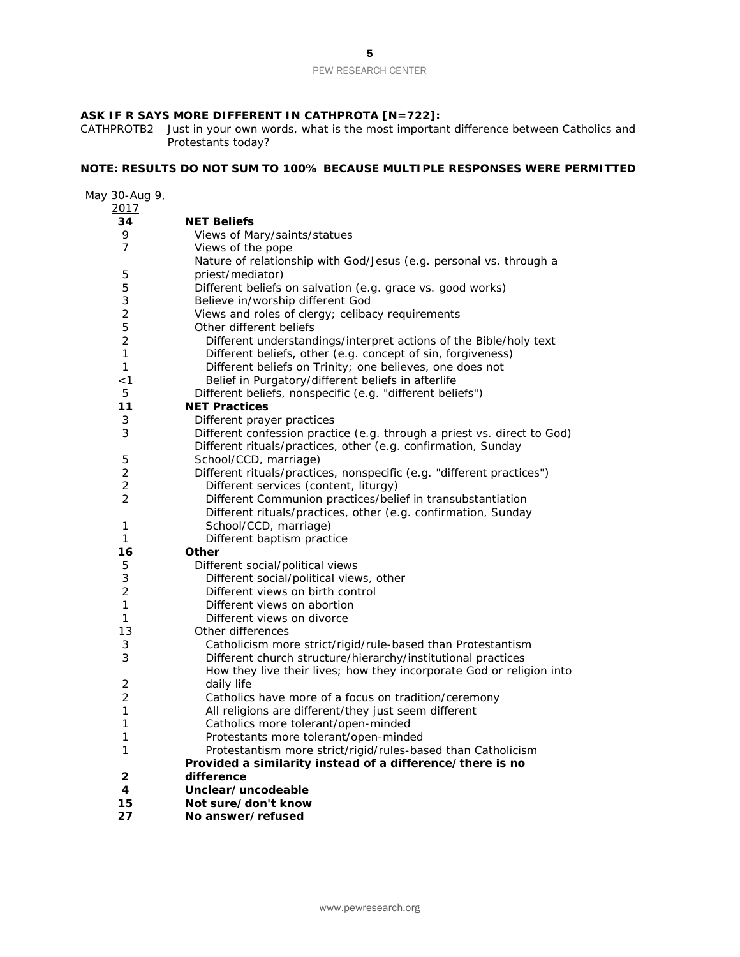#### **ASK IF R SAYS MORE DIFFERENT IN CATHPROTA [N=722]:**

CATHPROTB2 Just in your own words, what is the most important difference between Catholics and Protestants today?

#### **NOTE: RESULTS DO NOT SUM TO 100% BECAUSE MULTIPLE RESPONSES WERE PERMITTED**

May 30-Aug 9, **NET Beliefs** 9 Views of Mary/saints/statues<br>7 Views of the pope Views of the pope Nature of relationship with God/Jesus (e.g. personal vs. through a priest/mediator) Different beliefs on salvation (e.g. grace vs. good works) 3 Believe in/worship different God<br>2 Views and roles of cleroy: celibac 2 Views and roles of clergy; celibacy requirements<br>5 Other different beliefs 5 Other different beliefs<br>2 Different understand *Different understandings/interpret actions of the Bible/holy text Different beliefs, other (e.g. concept of sin, forgiveness) Different beliefs on Trinity; one believes, one does not <1 Belief in Purgatory/different beliefs in afterlife* Different beliefs, nonspecific (e.g. "different beliefs") **NET Practices** Different prayer practices Different confession practice (e.g. through a priest vs. direct to God) Different rituals/practices, other (e.g. confirmation, Sunday School/CCD, marriage) Different rituals/practices, nonspecific (e.g. "different practices") *Different services (content, liturgy) Different Communion practices/belief in transubstantiation Different rituals/practices, other (e.g. confirmation, Sunday School/CCD, marriage) Different baptism practice* **Other**  Different social/political views *Different social/political views, other Different views on birth control Different views on abortion Different views on divorce* Other differences *Catholicism more strict/rigid/rule-based than Protestantism Different church structure/hierarchy/institutional practices How they live their lives; how they incorporate God or religion into daily life Catholics have more of a focus on tradition/ceremony All religions are different/they just seem different Catholics more tolerant/open-minded Protestants more tolerant/open-minded Protestantism more strict/rigid/rules-based than Catholicism* **Provided a similarity instead of a difference/there is no difference Unclear/uncodeable Not sure/don't know No answer/refused**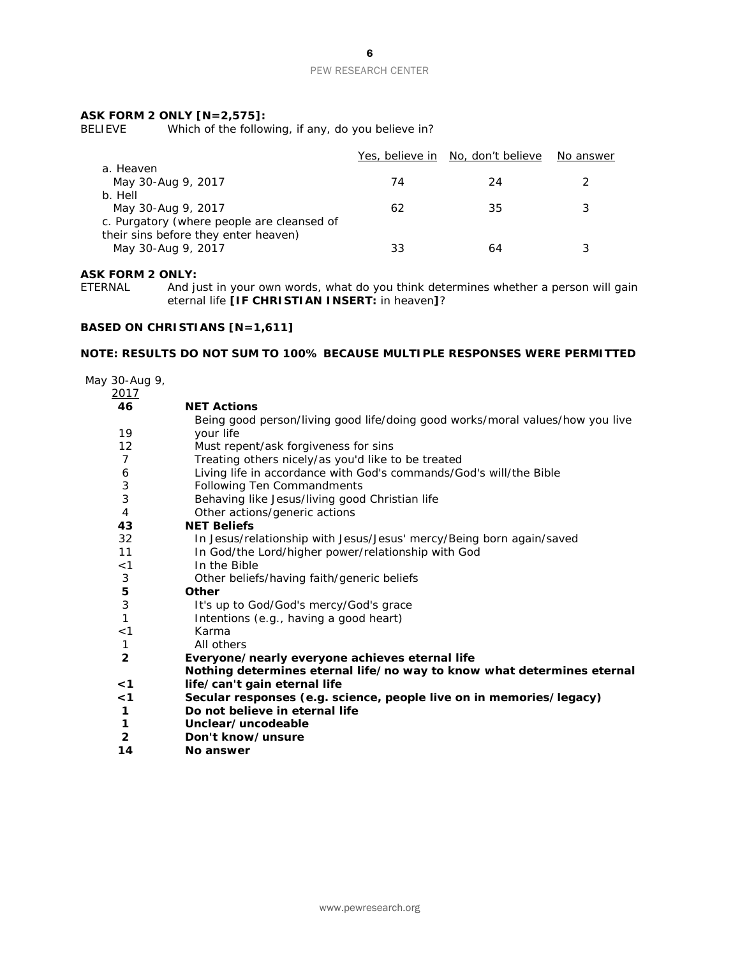#### **ASK FORM 2 ONLY [N=2,575]:**

BELIEVE Which of the following, if any, do you believe in?

|                                                                             |    | Yes, believe in No, don't believe | No answer |
|-----------------------------------------------------------------------------|----|-----------------------------------|-----------|
| a. Heaven<br>May 30-Aug 9, 2017                                             | 74 | 24                                |           |
| b. Hell<br>May 30-Aug 9, 2017<br>c. Purgatory (where people are cleansed of | 62 | 35                                |           |
| their sins before they enter heaven)<br>May 30-Aug 9, 2017                  | 33 | 64                                |           |

#### **ASK FORM 2 ONLY:**

ETERNAL And just in your own words, what do you think determines whether a person will gain eternal life **[IF CHRISTIAN INSERT:** in heaven**]**?

#### **BASED ON CHRISTIANS [N=1,611]**

#### **NOTE: RESULTS DO NOT SUM TO 100% BECAUSE MULTIPLE RESPONSES WERE PERMITTED**

May 30-Aug 9,  $\frac{2017}{46}$ **46 NET Actions** 19 Being good person/living good life/doing good works/moral values/how you live your life 12 Must repent/ask forgiveness for sins 7 Treating others nicely/as you'd like to be treated<br>6 Living life in accordance with God's commands/G Living life in accordance with God's commands/God's will/the Bible 3 Following Ten Commandments<br>3 Behaving like Jesus/living good Behaving like Jesus/living good Christian life 4 Other actions/generic actions<br> **43 NET Beliefs 43 NET Beliefs** 32 In Jesus/relationship with Jesus/Jesus' mercy/Being born again/saved 11 In God/the Lord/higher power/relationship with God <1 In the Bible 3 Other beliefs/having faith/generic beliefs<br>5 Other **5 Other** 3 It's up to God/God's mercy/God's grace 1 **Intentions (e.g., having a good heart)** <1 Karma 1 All others<br>2 Everyone/ **2 Everyone/nearly everyone achieves eternal life <1 Nothing determines eternal life/no way to know what determines eternal life/can't gain eternal life <1 Secular responses (e.g. science, people live on in memories/legacy) 1 Do not believe in eternal life 1 Unclear/uncodeable 2 Don't know/unsure 14 No answer**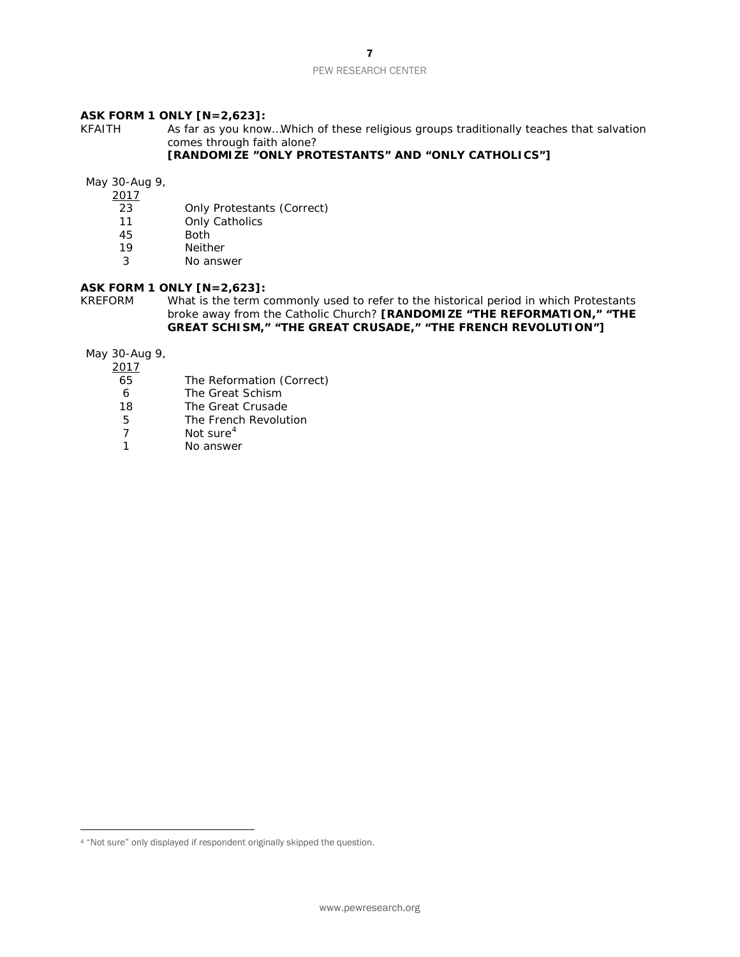#### **ASK FORM 1 ONLY [N=2,623]:**

KFAITH As far as you know…Which of these religious groups traditionally teaches that salvation comes through faith alone?

#### **[RANDOMIZE "ONLY PROTESTANTS" AND "ONLY CATHOLICS"]**

May 30-Aug 9,

 $\frac{2017}{23}$ 

- 23 Only Protestants (*Correct)*
- 11 Only Catholics<br>45 Both
- 45 Both<br>19 Neith
- **Neither**
- 3 No answer

# **ASK FORM 1 ONLY [N=2,623]:**<br>KREFORM What is the term of

What is the term commonly used to refer to the historical period in which Protestants broke away from the Catholic Church? **[RANDOMIZE "THE REFORMATION," "THE GREAT SCHISM," "THE GREAT CRUSADE," "THE FRENCH REVOLUTION"]** 

May 30-Aug 9,

2017

- 65 The Reformation (*Correct)*
- 
- 6 The Great Schism<br>18 The Great Crusade The Great Crusade
- 5 The French Revolution<br>7 Not sure<sup>4</sup>
- Not sure<sup>[4](#page-6-0)</sup>
- 1 No answer

<span id="page-6-0"></span> $\overline{a}$ <sup>4</sup> "Not sure" only displayed if respondent originally skipped the question.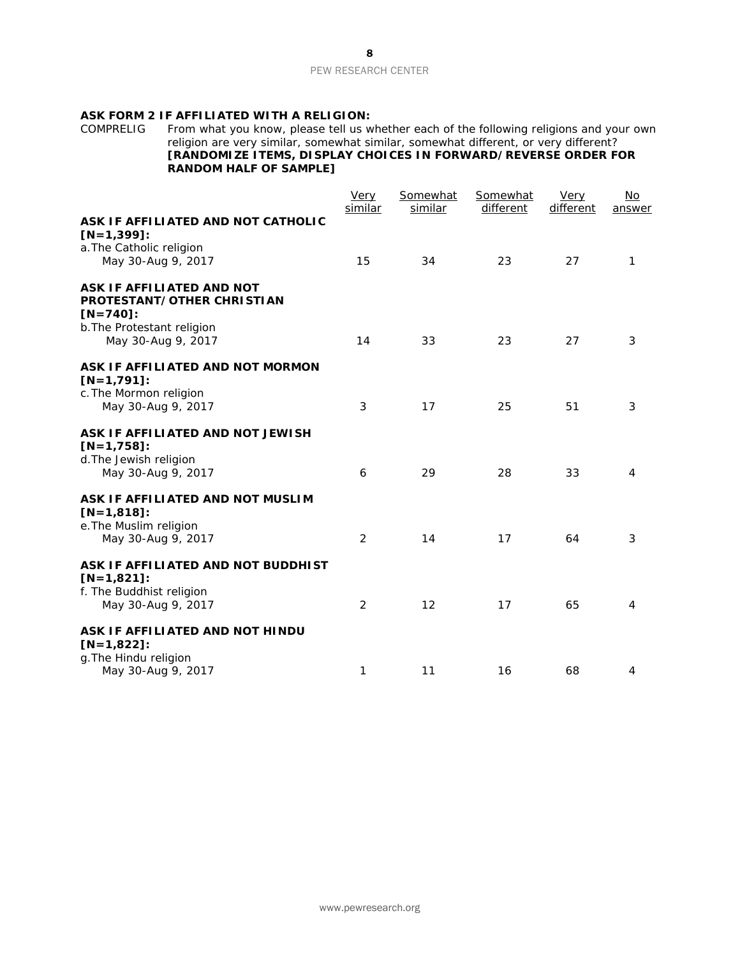# **ASK FORM 2 IF AFFILIATED WITH A RELIGION:**<br>COMPRELIG From what you know, please tell us w

COMPRELIG From what you know, please tell us whether each of the following religions and your own religion are very similar, somewhat similar, somewhat different, or very different? **[RANDOMIZE ITEMS, DISPLAY CHOICES IN FORWARD/REVERSE ORDER FOR RANDOM HALF OF SAMPLE]**

|                                                                                                                            | Very<br>similar | Somewhat<br>similar | Somewhat<br>different | Very<br>different | No<br>answer |
|----------------------------------------------------------------------------------------------------------------------------|-----------------|---------------------|-----------------------|-------------------|--------------|
| ASK IF AFFILIATED AND NOT CATHOLIC<br>$[N=1,399]$ :<br>a. The Catholic religion<br>May 30-Aug 9, 2017                      | 15              | 34                  | 23                    | 27                | 1            |
| ASK IF AFFILIATED AND NOT<br>PROTESTANT/OTHER CHRISTIAN<br>$[N=740]$ :<br>b. The Protestant religion<br>May 30-Aug 9, 2017 | 14              | 33                  | 23                    | 27                | 3            |
| ASK IF AFFILIATED AND NOT MORMON<br>$[N=1,791]$ :<br>c. The Mormon religion<br>May 30-Aug 9, 2017                          | 3               | 17                  | 25                    | 51                | 3            |
| ASK IF AFFILIATED AND NOT JEWISH<br>$[N=1,758]$ :<br>d. The Jewish religion<br>May 30-Aug 9, 2017                          | 6               | 29                  | 28                    | 33                | 4            |
| ASK IF AFFILIATED AND NOT MUSLIM<br>$[N=1,818]$ :<br>e. The Muslim religion<br>May 30-Aug 9, 2017                          | 2               | 14                  | 17                    | 64                | 3            |
| ASK IF AFFILIATED AND NOT BUDDHIST<br>$[N=1,821]$ :<br>f. The Buddhist religion<br>May 30-Aug 9, 2017                      | 2               | 12                  | 17                    | 65                | 4            |
| ASK IF AFFILIATED AND NOT HINDU<br>$[N=1,822]$ :<br>g. The Hindu religion<br>May 30-Aug 9, 2017                            | 1               | 11                  | 16                    | 68                | 4            |